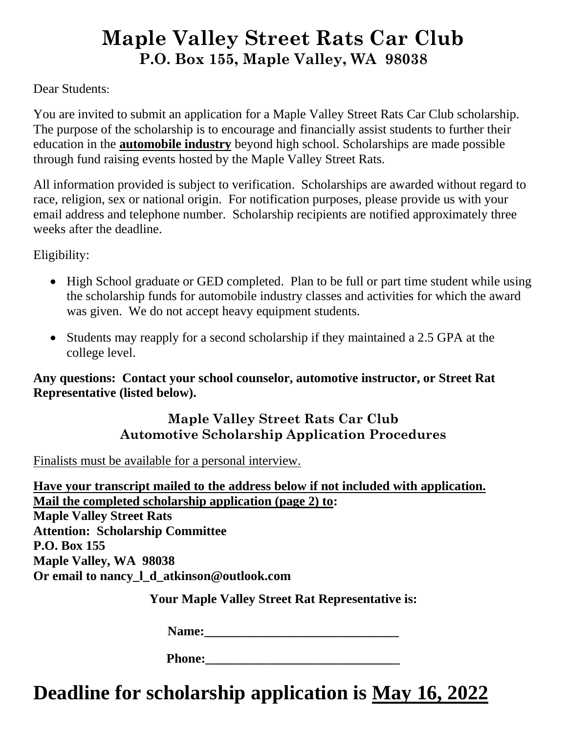## **Maple Valley Street Rats Car Club P.O. Box 155, Maple Valley, WA 98038**

Dear Students:

You are invited to submit an application for a Maple Valley Street Rats Car Club scholarship. The purpose of the scholarship is to encourage and financially assist students to further their education in the **automobile industry** beyond high school. Scholarships are made possible through fund raising events hosted by the Maple Valley Street Rats.

All information provided is subject to verification. Scholarships are awarded without regard to race, religion, sex or national origin. For notification purposes, please provide us with your email address and telephone number. Scholarship recipients are notified approximately three weeks after the deadline.

Eligibility:

- High School graduate or GED completed. Plan to be full or part time student while using the scholarship funds for automobile industry classes and activities for which the award was given. We do not accept heavy equipment students.
- Students may reapply for a second scholarship if they maintained a 2.5 GPA at the college level.

**Any questions: Contact your school counselor, automotive instructor, or Street Rat Representative (listed below).**

## **Maple Valley Street Rats Car Club Automotive Scholarship Application Procedures**

Finalists must be available for a personal interview.

**Have your transcript mailed to the address below if not included with application. Mail the completed scholarship application (page 2) to: Maple Valley Street Rats Attention: Scholarship Committee P.O. Box 155 Maple Valley, WA 98038 Or email to nancy\_l\_d\_atkinson@outlook.com**

**Your Maple Valley Street Rat Representative is:**

Name:

**Deadline for scholarship application is May 16, 2022**